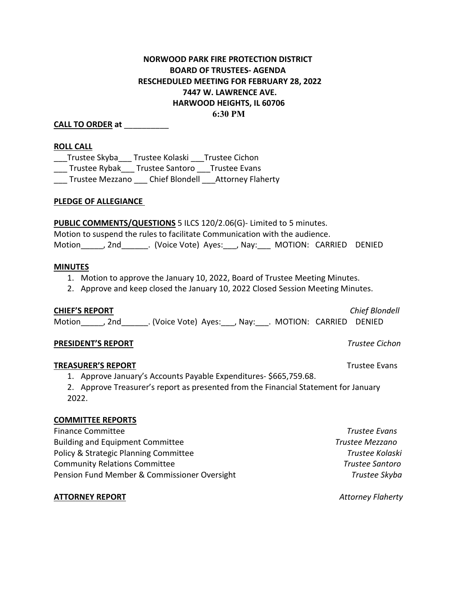# **NORWOOD PARK FIRE PROTECTION DISTRICT BOARD OF TRUSTEES- AGENDA RESCHEDULED MEETING FOR FEBRUARY 28, 2022 7447 W. LAWRENCE AVE. HARWOOD HEIGHTS, IL 60706 6:30 PM**

# **CALL TO ORDER at** \_\_\_\_\_\_\_\_\_\_

### **ROLL CALL**

Trustee Skyba \_\_\_ Trustee Kolaski \_\_\_ Trustee Cichon \_\_\_ Trustee Rybak\_\_\_ Trustee Santoro \_\_\_Trustee Evans \_\_\_ Trustee Mezzano \_\_\_ Chief Blondell \_\_\_Attorney Flaherty

### **PLEDGE OF ALLEGIANCE**

**PUBLIC COMMENTS/QUESTIONS** 5 ILCS 120/2.06(G)- Limited to 5 minutes.

Motion to suspend the rules to facilitate Communication with the audience.

Motion\_\_\_\_\_, 2nd\_\_\_\_\_\_. (Voice Vote) Ayes:\_\_\_, Nay:\_\_\_ MOTION: CARRIED DENIED

#### **MINUTES**

- 1. Motion to approve the January 10, 2022, Board of Trustee Meeting Minutes.
- 2. Approve and keep closed the January 10, 2022 Closed Session Meeting Minutes.

# **CHIEF'S REPORT** *Chief Blondell*

Motion\_\_\_\_\_, 2nd\_\_\_\_\_\_. (Voice Vote) Ayes:\_\_\_, Nay:\_\_\_. MOTION: CARRIED DENIED

#### **PRESIDENT'S REPORT** *Trustee Cichon*

# **TREASURER'S REPORT** TREASURER'S **REPORT**

- 1. Approve January's Accounts Payable Expenditures- \$665,759.68.
- 2. Approve Treasurer's report as presented from the Financial Statement for January 2022.

#### **COMMITTEE REPORTS**

| <b>Finance Committee</b>                     | Trustee Evans   |
|----------------------------------------------|-----------------|
| <b>Building and Equipment Committee</b>      | Trustee Mezzano |
| Policy & Strategic Planning Committee        | Trustee Kolaski |
| <b>Community Relations Committee</b>         | Trustee Santoro |
| Pension Fund Member & Commissioner Oversight | Trustee Skyba   |

# **ATTORNEY REPORT** *Attorney Flaherty*